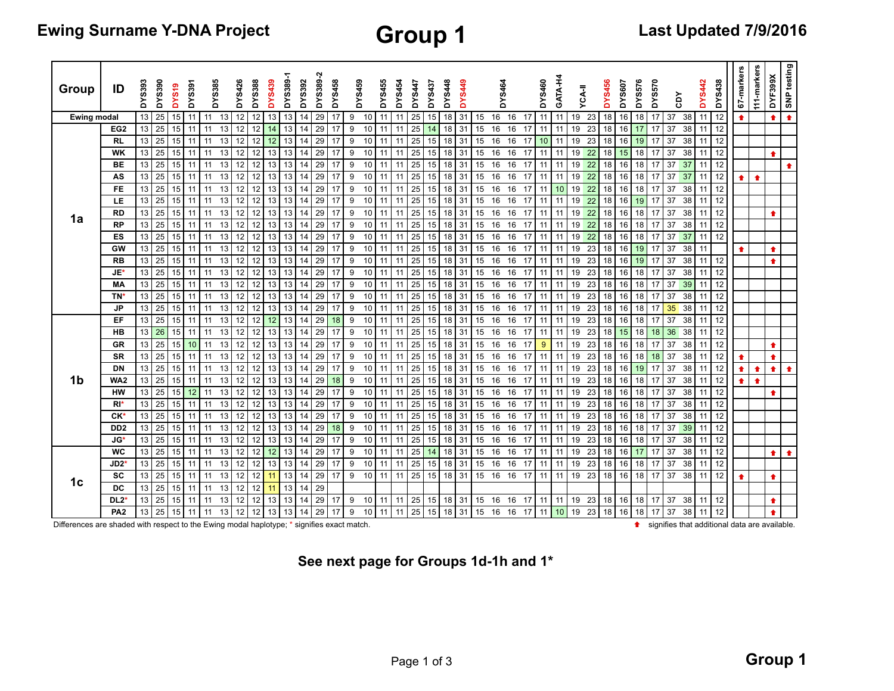| <b>Group</b> |  |
|--------------|--|
|--------------|--|

| Group              | ID                | <b>DYS393</b><br><b>DYS390</b> | DYS19 | <b>DYS391</b> |    | DYS385 | DYS426            | <b>DYS388</b> | <b>DYS439</b>     | DYS389 | <b>DYS392</b> | DYS389-2 | DYS458 | DYS459 |    | DYS455 | DYS454 | <b>DYS447</b> | <b>DYS437</b>   | <b>DYS448</b> | <b>677S.</b> |    | <b>DYS464</b> |            | DYS460     | GATA-H4 |    | <b>YCA-II</b> | <b>DYS456</b> | <b>DYS607</b> | ဖ<br>DYS57 | DYS570 | čDY      | <b>DYS442</b> | DYS438 | 67-markers | 111-markers | DYF399X   | SNP testing |
|--------------------|-------------------|--------------------------------|-------|---------------|----|--------|-------------------|---------------|-------------------|--------|---------------|----------|--------|--------|----|--------|--------|---------------|-----------------|---------------|--------------|----|---------------|------------|------------|---------|----|---------------|---------------|---------------|------------|--------|----------|---------------|--------|------------|-------------|-----------|-------------|
| <b>Ewing modal</b> |                   | 13<br>25                       | 15    | 11            | 11 | 13     | 12                | 12            | 13                | 13     | 14            | 29       | 17     | 9      | 10 | 11     |        | 25            | 15              | 18            | 31           | 15 | 16            | 16         | 11<br>-17  | 11      | 19 | 23            | 18            | 16            | 18         | 17     | 37<br>38 | 11            | 12     | ٠          |             | $\bullet$ | 全           |
|                    | EG <sub>2</sub>   | 25<br>13                       | 15    | 11            |    | 13     | 12                | 12            |                   | 13     | 14            | 29       | 17     | 9      | 10 | 11     |        | 25            |                 | 18            | 31           | 15 | 16            | 16         | 11<br>-17  | 11      | 19 | 23            | 18            | 16            |            | 17     | 38<br>37 | 11            | 12     |            |             |           |             |
|                    | <b>RL</b>         | 13<br>25                       | 15    | 11            |    | 13     | 12                | 12            | 12                | 13     | 14            | 29       | 17     | 9      | 10 | 11     |        | 25            | 15              | 18            | 31           | 15 | 16            | 16         | 10<br>-17  | 11      | 19 | 23            | 18            | 16            | 19         | 17     | 37<br>38 | 11            | 12     |            |             |           |             |
|                    | <b>WK</b>         | 13<br>25                       | 15    |               |    | 13     | 12                | 12            | 13                | 13     | 14            | 29       |        | 9      | 10 | 11     |        | 25            | 15              | 18            | 31           | 15 | 16            | 16<br>- 17 | 11         | 11      | 19 | 22            | 18            | 15            | 18         | 17     | 37<br>38 |               | 12     |            |             | ٠         |             |
|                    | ВE                | 13<br>25                       | 15    | 11            | 11 | 13     | 12                | 12            | 13                | 13     | 14            | 29       | 17     | 9      | 10 | 11     |        | 25            | 15              | 18            | 31           | 15 | 16            | 16         | -17<br>11  | 11      | 19 | 22            | 18            | 16            | 18         | -17    | 37<br>37 | 11            | 12     |            |             |           | ٠           |
|                    | AS                | 13<br>25                       | 15    | 11            | 11 | 13     | 12                | 12            | 13                | 13     | 14            | 29       | -17    | 9      | 10 | 11     | 11     | 25            | 15              | 18            | 31           | 15 | 16            | 16         | 17<br>11   | -11     | 19 | 22            | 18            | 16            | 18         | 17     | 37<br>37 | 11            | 12     |            | $\bullet$   |           |             |
|                    | <b>FE</b>         | 13<br>25                       | 15    | 11            | 11 | 13     | 12 <sub>1</sub>   | 12            | 13                | 13     | 14            | 29       | 17     | 9      | 10 | 11     | 11     | 25            | 15              | 18            | 31           | 15 | 16            | 16         | 17<br>11   | 10      | 19 | 22            | 18            | 16            | 18         | 17     | 37<br>38 | 11            | 12     |            |             |           |             |
|                    | LE                | 13<br>25                       | 15    | 11            | 11 | 13     | 12 <sub>1</sub>   | 12            | 13                | 13     | 14            | 29       | 17     | 9      | 10 | 11     | 11     | 25            | 15              | 18            | 31           | 15 | 16            | 16         | 11<br>17   | -11     | 19 | 22            | 18            | 16            | 19         | 17     | 37<br>38 | 11            | 12     |            |             |           |             |
| 1a                 | <b>RD</b>         | 13<br>25                       | 15    | 11            | 11 | 13     | 12                | 12            | 13                | 13     | 14            | 29       | 17     | 9      | 10 | 11     | 11     | 25            | 15              | 18            | 31           | 15 | 16            | 16         | 17<br>11   | -11     | 19 | 22            | 18            | 16            | 18         | 17     | 37<br>38 | 11            | 12     |            |             | $\bullet$ |             |
|                    | RP                | 13<br>25                       | 15    | 11            | 11 | 13     | 12 <sub>1</sub>   | 12            | 13                | 13     | 14            | 29       | 17     | 9      | 10 | 11     | 11     | 25            | 15              | 18            | 31           | 15 | 16            | 16         | 11<br>-17  | 11      | 19 | 22            | 18            | 16            | 18         | 17     | 37<br>38 | 11            | 12     |            |             |           |             |
|                    | ES                | 13<br>25                       | 15    | 11            | 11 | 13     | $12 \overline{ }$ | 12            | 13                | 13     | 14            | 29       | 17     | 9      | 10 | 11     | 11     | 25            | 15              | 18            | 31           | 15 | 16            | 16         | 11<br>-17  | 11      | 19 | 22            | 18            | 16            | 18         | -17    | 37<br>37 | 11            | 12     |            |             |           |             |
|                    | GW                | 13<br>25                       | 15    | 11            | 11 | 13     | 12                | 12            | 13                | 13     | 14            | 29       | 17     | 9      | 10 | 11     | 11     | 25            | 15              | 18            | 31           | 15 | 16            | 16         | -17<br>11  | -11     | 19 | 23            | 18            | 16            | 19         | -17    | 37<br>38 | 11            |        |            |             | $\bullet$ |             |
|                    | <b>RB</b>         | 13<br>25                       | 15    | 11            | 11 | 13     | 12                | 12            | 13                | 13     | 14            | 29       | 17     | 9      | 10 | 11     | 11     | 25            | 15              | 18            | 31           | 15 | 16            | 16         | -17<br>11  | 11      | 19 | 23            | 18            | 16            | 19         | -17    | 37<br>38 | 11            | 12     |            |             | $\bullet$ |             |
|                    | JE*               | 13<br>25                       | 15    | 11            | 11 | 13     | 12                | 12            | 13                | 13     | 14            | 29       | 17     | 9      | 10 | 11     |        | 25            | 15              | 18            | 31           | 15 | 16            | 16         | -17<br>11  | -11     | 19 | 23            | 18            | 16            | 18         | -17    | 37<br>38 | 11            | 12     |            |             |           |             |
|                    | MA                | 13<br>25                       | 15    | 11            |    | 13     | 12                | 12            | 13                | 13     | 14            | 29       | 17     | 9      | 10 | 11     |        | 25            | 15              | 18            | 31           | 15 | 16            | 16         | -17<br>11  | 11      | 19 | 23            | 18            | 16            | 18         | 17     | 39<br>37 | 11            | 12     |            |             |           |             |
|                    | TN*               | 13<br>25                       | 15    | 11            | 11 | 13     | 12                | 12            | 13                | 13     | 14            | 29       | -17    | 9      | 10 | 11     | 11     | 25            | 15              | 18            | 31           | 15 | 16            | 16         | -17<br>-11 | 11      | 19 | 23            | 18            | 16            | 18         | -17    | 38<br>37 | 11            | 12     |            |             |           |             |
|                    | <b>JP</b>         | 13<br>25                       | 15    | 11            | 11 | 13     | 12 <sub>l</sub>   | 12            | 13                | 13     | 14            | 29       | 17     | 9      | 10 | 11     | 11     | 25            | 15              | 18            | 31           | 15 | 16            | 16         | 17<br>11   | -11     | 19 | 23            | 18            | 16            | 18         | -17    | 38<br>35 | 11 I          | 12     |            |             |           |             |
|                    | EF                | 13<br>25                       | 15    | -11           | 11 | 13     | 12 <sub>l</sub>   | 12            | 12                | 13     | 14            | 29       | 18     | 9      | 10 | 11     | -11    | 25            | 15              | 18            | 31           | 15 | 16            | 16         | 17<br>11   | -11     | 19 | 23            | 18            | 16            | 18         | -17    | 37<br>38 | 11            | 12     |            |             |           |             |
|                    | HB                | 13<br>26                       | 15    | 11            | 11 | 13     | 12 <sub>l</sub>   | 12            | 13                | 13     | 14            | 29       | 17     | 9      | 10 | 11     | -11    | 25            | 15              | 18            | 31           | 15 | 16            | 16         | 17<br>11   | -11     | 19 | 23            | 18            | 15            | 18         | 18     | 36<br>38 | 11            | 12     |            |             |           |             |
|                    | GR                | 13<br>25                       | 15    | 10            | 11 | 13     | 12                | 12            | 13                | 13     | 14            | 29       | 17     | 9      | 10 | 11     | 11     | 25            | 15              | 18            | 31           | 15 | 16            | 16         | 17<br>9    | 11      | 19 | 23            | 18            | 16            | 18         | 17     | 37<br>38 | 11            | 12     |            |             | $\bullet$ |             |
|                    | <b>SR</b>         | 13<br>25                       | 15    | 11            | 11 | 13     | 12 <sub>1</sub>   | 12            | 13                | 13     | 14            | 29       | 17     | 9      | 10 | 11     | 11     | 25            | 15              | 18            | 31           | 15 | 16            | 16         | 11<br>-17  | 11      | 19 | 23            | 18            | 16            | 18         | 18     | 37<br>38 | 11            | 12     |            |             | $\bullet$ |             |
|                    | DN                | 13<br>25                       | 15    | 11            | 11 | 13     | $12 \overline{ }$ | 12            | 13                | 13     | 14            | 29       | 17     | 9      | 10 | 11     | 11     | 25            | 15              | 18            | 31           | 15 | 16            | 16         | 17<br>11   | 11      | 19 | 23            | 18            | 16            | 19         | 17     | 38<br>37 | 11            | 12     | ٠          | ♠           | $\bullet$ | $\bullet$   |
| 1b                 | WA2               | 13<br>25                       | 15    | 11            | 11 | 13     | 12                | 12            | 13                | 13     | 14            | 29       | 18     | 9      | 10 | 11     | 11     | 25            | 15              | 18            | 31           | 15 | 16            | 16         | 11<br>-17  | -11     | 19 | 23            | 18            | 16            | 18         | 17     | 37<br>38 | 11            | 12     | ٠          | 一个          |           |             |
|                    | <b>HW</b>         | 13<br>25                       | 15    | 12            | 11 | 13     | 12                | 12            | 13                | 13     | 14            | 29       | 17     | 9      | 10 | 11     | 11     | 25            | 15              | 18            | 31           | 15 | 16            | 16         | 17<br>11   | -11     | 19 | 23            | 18            | 16            | 18         | 17     | 37<br>38 | 11            | 12     |            |             | 一个        |             |
|                    | $R^*$             | 13<br>25                       | 15    | 11            | 11 | 13     | 12                | 12            | 13                | 13     | 14            | 29       | 17     | 9      | 10 | 11     | 11     | 25            | 15              | 18            | 31           | 15 | 16            | 16         | 17<br>11   | 11      | 19 | 23            | 18            | 16            | 18         | 17     | 37<br>38 | 11            | 12     |            |             |           |             |
|                    | CK*               | 13<br>25                       | 15    | 11            | 11 | 13     | 12                | 12            | 13                | 13     | 14            | 29       | 17     | 9      | 10 | 11     | 11     | 25            | 15              | 18            | 31           | 15 | 16            | 16         | 11<br>-17  | 11      | 19 | 23            | 18            | 16            | 18         | 17     | 37<br>38 | 11            | 12     |            |             |           |             |
|                    | DD <sub>2</sub>   | 13<br>25                       | 15    | -11           | 11 | 13     | $12 \overline{ }$ | 12            | 13                | 13     | 14            | 29       | 18     | 9      | 10 | 11     |        | 25            | 15              | 18            | 31           | 15 | 16            | 16         | 11<br>-17  | 11      | 19 | 23            | 18            | 16            | 18         | 17     | 39<br>37 | 11            | 12     |            |             |           |             |
|                    | $JC*$             | 13<br>25                       | 15    | 11            | 11 | 13     | $12 \overline{ }$ | 12            | 13                | 13     | 14            | 29       | 17     | 9      | 10 | 11     | 11     | 25            | 15              | 18            | 31           | 15 | 16            | 16         | -17<br>11  | -11     | 19 | 23            | 18            | 16            | 18         | 17     | 37<br>38 | 11            | 12     |            |             |           |             |
|                    | <b>WC</b>         | 13<br>25                       | 15    | 11            | 11 | 13     | 12                | 12            | $12 \overline{ }$ | 13     | 14            | 29       | 17     | 9      | 10 | 11     | -11    | 25            | 14              | 18            | 31           | 15 | 16            | 16         | -17<br>11  | -11     | 19 | 23            | 18            | 16            | 17         | 17     | 37<br>38 | 11            | 12     |            |             | $\bullet$ | 个           |
|                    | JD <sub>2</sub> * | 13<br>25                       | 15    | 11            | 11 | 13     | 12 <sub>1</sub>   | 12            | 13                | 13     | 14            | 29       | 17     | 9      | 10 | 11     | 11     | 25            | 15              | 18            | 31           | 15 | 16            | 16         | 11<br>-17  | -11     | 19 | 23            | 18            | 16            | 18         | 17     | 37<br>38 | 11            | 12     |            |             |           |             |
| 1c                 | SC                | 13<br>25                       | 15    | 11            | 11 | 13     | 12 <sub>1</sub>   | 12            | 11                | 13     | 14            | 29       | 17     | 9      | 10 | 11     | 11     | 25            | 15              | 18            | 31           | 15 | 16            | 16<br>-17  | 11         | 11      | 19 | 23            | 18            | 16            | 18         | 17     | 37<br>38 | 11            | 12     |            |             | 全         |             |
|                    | DC                | 13<br>25                       | 15    | 11            | 11 | 13     | 12 <sub>1</sub>   | 12            | 11                | 13     | 14            | 29       |        |        |    |        |        |               |                 |               |              |    |               |            |            |         |    |               |               |               |            |        |          |               |        |            |             |           |             |
|                    | $DL2*$            | 25<br>13                       | 15    | 11            | 11 | 13     | 12 <sub>1</sub>   | 12            | 13                | 13     | -14           | 29       | 17     | 9      | 10 | 11     | 11     | 25            | 15 <sup>1</sup> | 18 31         |              | 15 | 16            | 16         | 11<br>-17  | 11      | 19 | 23            | 18            | 16            | 18         | -17    | 37<br>38 | 11            | 12     |            |             | $\bullet$ |             |
|                    | PA <sub>2</sub>   | 13<br>25                       | 15    | 11            | 11 | 13     | 12 <sup>1</sup>   | 12            | 13                | 13     | 14            | 29       | 17     | 9      | 10 | 11     | 11     | 25            |                 | 15 18 31      |              | 15 | 16            | 16         | 17<br>11   | 10      | 19 | 23            | 18            | 16            | 18         | 17     | 37<br>38 | 11            | 12     |            |             | $\bullet$ |             |

Differences are shaded with respect to the Ewing modal haplotype; \* signifies exact match. 
<br> **Differences** are shaded with respect to the Ewing modal haplotype; \* signifies exact match.

**See next page for Groups 1d-1h and 1\***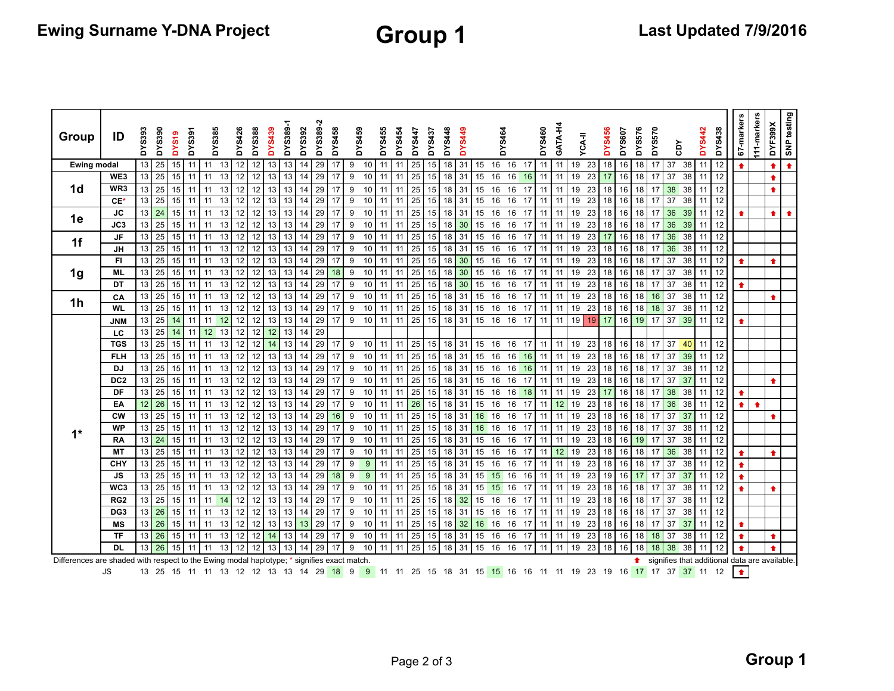| Group                                                                                      | ID              | <b>DYS393</b> | <b>DYS390</b> | <b>DYS19</b>    | DYS391 | <b>DYS385</b>   |    | DYS426 | <b>DYS388</b> | <b>DYS439</b>   | DYS389-1 | DYS392 | DYS389-2 | DYS458 | DYS459           |                 | DYS455 | DYS454 | <b>DYS447</b>   | DYS437          | <b>DYS448</b>      | <b>DYS449</b> |          | <b>DYS464</b> |                                                                                                                                                     | DYS460 |    | GATA-H4 | <b>YCA-II</b> | <b>DYS456</b> | <b>DYS607</b> | <b>DYS576</b> | DYS570 |    | ă  | <b>DYS442</b> | DYS438    | 67-markers                                    | 111-markers | DYF399X   | SNP testing |
|--------------------------------------------------------------------------------------------|-----------------|---------------|---------------|-----------------|--------|-----------------|----|--------|---------------|-----------------|----------|--------|----------|--------|------------------|-----------------|--------|--------|-----------------|-----------------|--------------------|---------------|----------|---------------|-----------------------------------------------------------------------------------------------------------------------------------------------------|--------|----|---------|---------------|---------------|---------------|---------------|--------|----|----|---------------|-----------|-----------------------------------------------|-------------|-----------|-------------|
| <b>Ewing modal</b>                                                                         |                 | 13            | 25            | 15              | 11     | 11              | 13 | 12     | 12            | 13              | 13       | 14     | 29       | 17     | 9                | 10              | 11     | 11     | 25              | 15              | 18                 | 31            | 15       | 16            | 16<br>-17                                                                                                                                           | 11     |    | 11      | 19<br>23      | 18            | 16            | 18            | 17     | 37 | 38 | 11            | 12        | $\bullet$                                     |             | ♠         | $\bullet$   |
|                                                                                            | WE3             | 13            | 25            | 15              | 11     | 11              | 13 | 12     | 12            | 13              | 13       | 14     | 29       | 17     | 9                | 10              | 11     | 11     | 25              | 15              | 18                 | 31            | 15       | 16            | 16<br>16                                                                                                                                            | 11     |    | 11      | 19<br>23      |               | 16            | 18            |        | 37 | 38 | 11            | 12        |                                               |             |           |             |
| 1d                                                                                         | WR <sub>3</sub> | 13            | 25            | 15              | 11     | 11              | 13 | 12     | 12            |                 | 13       | 14     | 29       | 17     | 9                | 10              | 11     |        | 25              | 15              | 18                 | 31            | 15       | 16            | 16<br>17                                                                                                                                            | 11     |    | 11      | 19<br>23      | 18            | 16            | 18            |        | 38 | 38 | 11            | 12        |                                               |             | ♠         |             |
|                                                                                            | $CE*$           | 13            | 25            | 15              | 11     | 11              | 13 | 12     | 12            | 13              | 13       | 14     | 29       | 17     | 9                | 10              | 11     | 11     | 25              | 15              | 18                 | 31            | 15       | 16            | 16<br>17                                                                                                                                            | 11     |    | 11      | 19<br>23      | 18            | 16            | 18            | 17     | 37 | 38 | 11            | 12        |                                               |             |           |             |
|                                                                                            | <b>JC</b>       | 13            | 24            | 15              | 11     | 11              | 13 | 12     | 12            | 13              | 13       | 14     | 29       | 17     | 9                | 10              | 11     | 11     | $\overline{25}$ | 15              | 18                 | 31            | 15       | 16            | 16<br>17                                                                                                                                            | 11     |    | 11      | 19<br>23      | 18            | 16            | 18            | 17     | 36 | 39 | 11            | 12        |                                               |             | $\bullet$ | $\bullet$   |
| 1e                                                                                         | JC3             | 13            | 25            | 15              | 11     | 11              | 13 | 12     | 12            | 13              | 13       | 14     | 29       | 17     | 9                | 10              | 11     | 11     | 25              | 15              | $18$ 30            |               | 15       | 16            | 16<br>17                                                                                                                                            | 11     |    | 11      | 23<br>19      | 18            | 16            | 18            | 17     | 36 | 39 | 11            | 12        |                                               |             |           |             |
|                                                                                            | <b>JF</b>       | 13            | 25            | 15 <sup>1</sup> | 11     | 11              | 13 | 12     | 12            | 13              | 13       | 14     | 29       | 17     | 9                | 10              | 11     | 11     | $\overline{25}$ | 15              | 18 31              |               | 15       | 16            | 16<br>17                                                                                                                                            | 11     |    | 11      | 19<br>23      | 17            | 16            | 18            | 17     | 36 | 38 | 11            | 12        |                                               |             |           |             |
| 1f                                                                                         | <b>JH</b>       | 13            | 25            | 15 <sup>1</sup> | 11     | 11              | 13 | 12     | 12            | 13              | 13       | 14     | 29       | 17     | 9                | 10              | 11     | 11     | $\overline{25}$ | 15              | 18 31              |               | 15       | 16            | 16<br>17                                                                                                                                            | 11     |    | 11      | 19<br>23      | 18            | 16            | 18            | 17     | 36 | 38 | 11            | 12        |                                               |             |           |             |
|                                                                                            | FI.             | 13            | 25            | 15              | 11     | 11              | 13 | 12     | 12            | 13              | 13       | 14     | 29       | 17     | $\boldsymbol{9}$ | 10              | 11     | 11     | 25              | 15              | $18$ 30            |               | 15       | 16            | 16<br>17                                                                                                                                            | 11     |    | 11      | 23<br>19      | 18            | 16            | 18            | 17     | 37 | 38 | 11            | 12        |                                               |             | ٠         |             |
| 1g                                                                                         | ML              | 13            | 25            | 15              | 11     | 11              | 13 | 12     | 12            | 13              | 13       | 14     | 29       | 18     | 9                | 10              | 11     | 11     | 25              | 15              | 18                 | 30            | 15       | 16            | 16<br>17                                                                                                                                            | 11     |    | 11      | 23<br>19      | 18            | 16            | 18            | 17     | 37 | 38 | 11            | 12        |                                               |             |           |             |
|                                                                                            | DT              | 13            | 25            | 15              | 11     | 11              | 13 | 12     | 12            | 13              | 13       | 14     | 29       | 17     | 9                | 10              | 11     | 11     | 25              | 15              | 18                 | 30            | 15       | 16            | 16<br>17                                                                                                                                            | 11     |    | 11      | 19<br>23      | 18            | 16            | 18            | 17     | 37 | 38 | 11            | 12        | ٠                                             |             |           |             |
| 1 <sub>h</sub>                                                                             | CA              | 13            | 25            | 15              | 11     | 11              | 13 | 12     | 12            | 13              | 13       | 14     | 29       | 17     | 9                | 10              | 11     | 11     | 25              | 15              | 18                 | 31            | 15       | 16            | 16<br>17                                                                                                                                            | 11     |    | 11      | 19<br>23      | 18            | 16            | 18            | 16     | 37 | 38 | 11            | 12        |                                               |             |           |             |
|                                                                                            | <b>WL</b>       | 13            | 25            | 15              | 11     | 11              | 13 | 12     | 12            | 13              | 13       | 14     | 29       | 17     | 9                | 10              | 11     | 11     | 25              | 15              | 18 31              |               | 15       | 16            | 16<br>17                                                                                                                                            |        | 11 | 11      | 19<br>23      | 18            | 16            | 18            | 18     | 37 | 38 | 11            | 12        |                                               |             |           |             |
|                                                                                            | <b>JNM</b>      | 13            | 25            | 14              | 11     | 11              | 12 | 12     | 12            | 13              | 13       | 14     | 29       | 17     | 9                | 10              | 11     | 11     | 25              | 15              | 18 <sup>1</sup>    | 31            | 15 16    |               | 16<br>17                                                                                                                                            | 11     |    | 11      | 19            | 19<br>17      | 16            | 19            | 17     | 37 | 39 | 11            | 12        |                                               |             |           |             |
|                                                                                            | LC              | 13            | 25            | 14              | 11     | 12 <sup>2</sup> | 13 | 12     | 12            | 12 <sup>2</sup> | 13       | 14     | 29       |        |                  |                 |        |        |                 |                 |                    |               |          |               |                                                                                                                                                     |        |    |         |               |               |               |               |        |    |    |               |           |                                               |             |           |             |
|                                                                                            | <b>TGS</b>      | 13            | 25            | 15              | 11     | 11              | 13 | 12     | 12            | 14              | 13       | 14     | 29       | 17     | 9                | 10              | 11     | 11     | 25              | 15 18 31        |                    |               | 15 16    |               | 16<br>17                                                                                                                                            | 11     |    | 11      | 19<br>23      | 18            | 16            | 18            | 17     | 37 | 40 |               | $11$   12 |                                               |             |           |             |
|                                                                                            | <b>FLH</b>      | 13            | 25            | 15 I            | 11     | 11              | 13 | 12     | 12            | 13              | 13       | 14     | 29       | 17     | 9                | 10              | 11     | 11     | 25              | 15 18 31        |                    |               | 15 16    |               | 16 16                                                                                                                                               |        | 11 | 11      | 19<br>23      | 18            | 16            | 18            | 17     | 37 | 39 |               | $11$ 12   |                                               |             |           |             |
|                                                                                            | <b>DJ</b>       | 13            | 25            | $15$ 11         |        | 11              | 13 | 12     | 12            | 13 <sup>1</sup> | 13       | 14     | 29       | 17     | 9                | 10 <sup>1</sup> | 11     | 11     | 25              | 15 18 31        |                    |               | 15 16    |               | 16 16                                                                                                                                               | 11     |    | 11      | 19<br>23      | 18            | 16            | 18            | 17     | 37 | 38 |               | $11$ 12   |                                               |             |           |             |
|                                                                                            | DC <sub>2</sub> | 13            | 25            | 15              | 11     | 11              | 13 | 12     | 12            | 13              | 13       | 14     | 29       | 17     | 9                | 10              | 11     | 11     | 25              | 15              | 18 31              |               | 15 16    |               | 16<br>17                                                                                                                                            | 11     |    | 11      | 19<br>23      | 18            | 16            | 18            | 17     | 37 | 37 | 11            | 12        |                                               |             | ♠         |             |
|                                                                                            | DF              | 13            | 25            | 15              | 11     | 11              | 13 | 12     | 12            | 13              | 13       | 14     | 29       | 17     | 9                | 10              | 11     | 11     | 25              | 15              | $18 \overline{31}$ |               | 15 16    |               | 16 18                                                                                                                                               | 11     |    | 11      | 19<br>23      | 17            | 16            | 18            | 17     | 38 | 38 | 11            | 12        | $\bullet$                                     |             |           |             |
|                                                                                            | EA              | 12            | 26            | 15 <sup>1</sup> | 11     | 11              | 13 | 12     | 12            | 13              | 13       | 14     | 29       | 17     | 9                | 10              | 11     | 11     | 26              | 15              | 18 <sup>1</sup>    | 31            | 15 16    |               | 16<br>17                                                                                                                                            | 11     |    | 12      | 19<br>23      | 18            | 16            | 18            | 17     | 36 | 38 | 11            | 12        | $\bullet$                                     | ♠           |           |             |
|                                                                                            | <b>CW</b>       | 13            | 25            | 15 <sup>1</sup> | 11     | 11              | 13 | 12     | 12            | 13              | 13       | 14     | 29       | 16     | 9                | 10              | 11     | 11     | 25              | 15 <sup>1</sup> | 18 31              |               | 16 16    |               | 16<br>17                                                                                                                                            |        | 11 | 11      | 19<br>23      | 18            | 16            | 18            | 17     | 37 | 37 | 11            | 12        |                                               |             |           |             |
| $1*$                                                                                       | <b>WP</b>       | 13            | 25            | 15              | 11     | 11              | 13 | 12     | 12            | 13              | 13       | 14     | 29       | 17     | 9                | 10              | 11     | 11     | $\overline{25}$ | 15              | 18 31              |               | 16       | 16            | 16<br>17                                                                                                                                            | 11     |    | 11      | 23<br>19      | 18            | 16            | 18            | 17     | 37 | 38 | 11            | 12        |                                               |             |           |             |
|                                                                                            | <b>RA</b>       | 13            | 24            | 15              | 11     | 11              | 13 | 12     | 12            | 13              | 13       | 14     | 29       | 17     | 9                | 10              | 11     | 11     | 25              | 15              | 18 31              |               | 15       | 16            | 16<br>17                                                                                                                                            | 11     |    | 11      | 23<br>19      | 18            | 16            | 19            | 17     | 37 | 38 | 11            | 12        |                                               |             |           |             |
|                                                                                            | <b>MT</b>       | 13            | 25            | 15              | 11     | 11              | 13 | 12     | 12            | 13              | 13       | 14     | 29       | 17     | 9                | 10              | 11     | 11     | 25              | 15              | 18 31              |               | 15       | 16            | 16<br>17                                                                                                                                            | 11     |    | 12      | 19<br>23      | 18            | 16            | 18            | -17    | 36 | 38 | 11            | 12        |                                               |             | ♠         |             |
|                                                                                            | CHY             | 13            | 25            | 15              | 11     | 11              | 13 | 12     | 12            | 13              | 13       | 14     | 29       | 17     | 9                | 9               | 11     | 11     | 25              | 15 18 31        |                    |               | 15       | 16            | 16<br>17                                                                                                                                            | 11     |    | 11      | 19<br>23      | 18            | 16            | 18            | 17     | 37 | 38 | 11            | 12        | ٠                                             |             |           |             |
|                                                                                            | JS.             | 13            | 25            | $15$ 11         |        | 11              | 13 | 12     | 12            | 13              | 13       | 14     | 29       | 18     | 9                | 9               | 11     | 11     | 25              | 15 18 31        |                    |               | $15$ 15  |               | 16                                                                                                                                                  | 16 11  |    | 11      | 19<br>23      | 19            | 16            | 17            | 17     | 37 | 37 |               | $11$   12 |                                               |             |           |             |
|                                                                                            | WC3             | 13            | 25            | 15 <sup>1</sup> | 11     | 11              | 13 | 12     | 12            | 13              | 13       | 14     | 29       | 17     | 9                | 10              | 11     | 11     | 25              | 15              | 18 31              |               | 15 15 16 |               | 17                                                                                                                                                  | 11     |    | 11      | 19<br>23      | 18            | 16            | 18            | 17     | 37 | 38 | 11            | 12        | $\bullet$                                     |             | ٠         |             |
|                                                                                            | RG <sub>2</sub> | 13            | 25            | 15 <sup>1</sup> | 11     | 11              | 14 | 12     | 12            | 13              | 13       | 14     | 29       | 17     | 9                | 10              | 11     | 11     | 25              | 15              | $18$ 32            |               | 15       | 16            | 16<br>17                                                                                                                                            | 11     |    | 11      | 23<br>19      | 18            | 16            | 18            | 17     | 37 | 38 | 11            | 12        |                                               |             |           |             |
|                                                                                            | DG <sub>3</sub> | 13            | 26            | 15              | 11     | 11              | 13 | 12     | 12            | 13              | 13       | 14     | 29       | 17     | 9                | 10              | 11     | 11     | 25              | 15              | 18                 | 31            | 15       | 16            | 16<br>17                                                                                                                                            | 11     |    | 11      | 19<br>23      | 18            | 16            | 18            | 17     | 37 | 38 | 11            | 12        |                                               |             |           |             |
|                                                                                            | <b>MS</b>       | 13            | 26            | 15              | 11     | 11              | 13 | 12     | 12            | 13              | 13       | 13     | 29       | 17     | 9                | 10              | 11     | 11     | $\overline{25}$ | 15              | 18                 | 32            | 16 16    |               | 16<br>17                                                                                                                                            | 11     |    | 11      | 19<br>23      | 18            | 16            | 18            | 17     | 37 | 37 | 11            | 12        |                                               |             |           |             |
|                                                                                            | <b>TF</b>       | 13            | 26            | 15 <sup>1</sup> | 11     | 11              | 13 | 12     | 12            | 14              | 13       | 14     | 29       | 17     | 9                | 10              | 11     | 11     | 25              | 15              | 18 31              |               | 15       | 16            | 16<br>17                                                                                                                                            |        | 11 | 11      | 19<br>23      | 18            | 16            | 18            | 18     | 37 | 38 | 11            | 12        |                                               |             | ♠         |             |
|                                                                                            | <b>DL</b>       | 13            | 26            | 15              | 11     | 11              | 13 | 12     | 12            | 13              | 13       | 14     | 29       | 17     | 9                | 10              | 11     | 11     | 25              | 15              | 18 <sup>1</sup>    | 31            | 15       | 16            | 16<br>17                                                                                                                                            | 11     |    | 11      | 19<br>23      | 18            | 16            | 18            | 18     | 38 | 38 | 11            | 12        |                                               |             | ٠         |             |
| Differences are shaded with respect to the Ewing modal haplotype; * signifies exact match. |                 |               |               |                 |        |                 |    |        |               |                 |          |        |          |        |                  |                 |        |        |                 |                 |                    |               |          |               |                                                                                                                                                     |        |    |         |               |               |               | <b>↑</b>      |        |    |    |               |           | signifies that additional data are available. |             |           |             |
|                                                                                            | <b>JS</b>       |               |               |                 |        |                 |    |        |               |                 |          |        |          |        |                  |                 |        |        |                 |                 |                    |               |          |               | 13 25 15 11 11 13 12 12 13 13 14 29 18 9 9 11 11 25 15 18 31 15 <mark>15</mark> 16 16 11 11 19 23 19 16 <mark>17</mark> 17 37 <mark>37</mark> 11 12 |        |    |         |               |               |               |               |        |    |    |               |           | $\bullet$                                     |             |           |             |